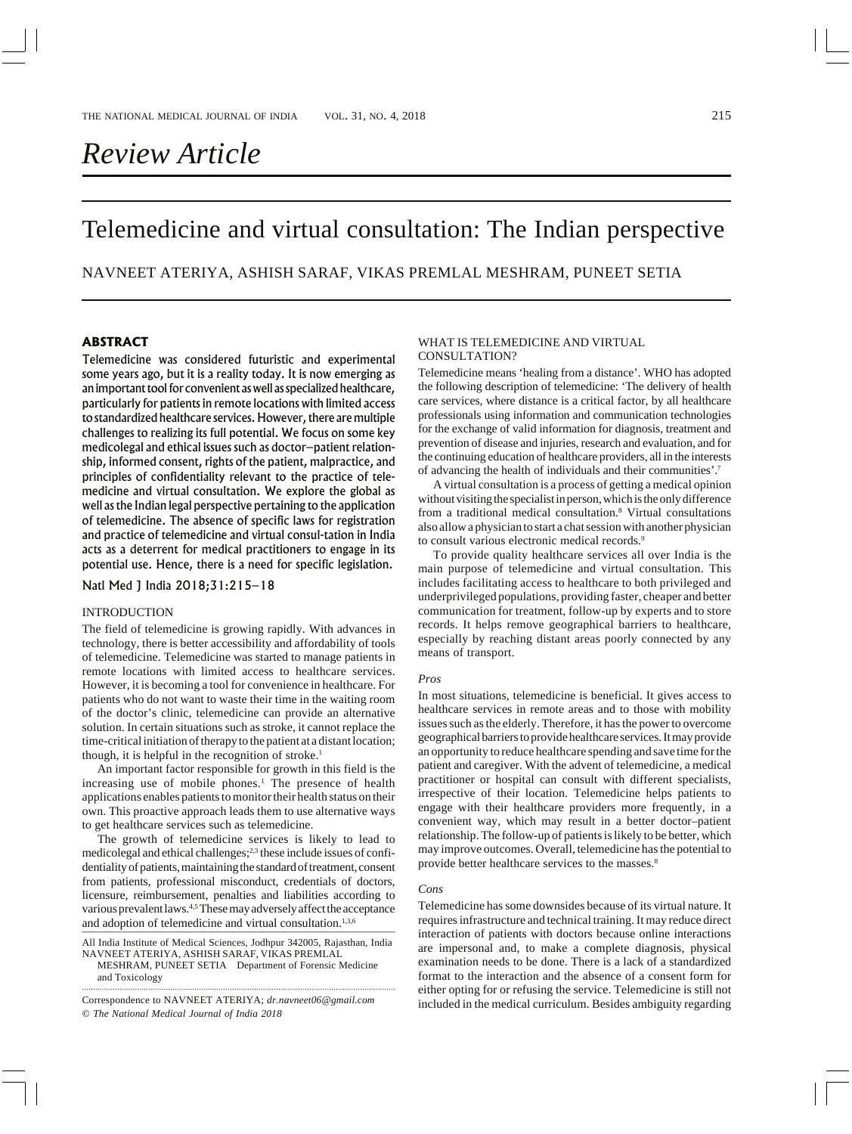NAVNEET ATERIYA, ASHISH SARAF, VIKAS PREMLAL MESHRAM, PUNEET SETIA

# **ABSTRACT**

Telemedicine was considered futuristic and experimental some years ago, but it is a reality today. It is now emerging as an important tool for convenient as well as specialized healthcare, particularly for patients in remote locations with limited access to standardized healthcare services. However, there are multiple challenges to realizing its full potential. We focus on some key medicolegal and ethical issues such as doctor–patient relationship, informed consent, rights of the patient, malpractice, and principles of confidentiality relevant to the practice of telemedicine and virtual consultation. We explore the global as well as the Indian legal perspective pertaining to the application of telemedicine. The absence of specific laws for registration and practice of telemedicine and virtual consul-tation in India acts as a deterrent for medical practitioners to engage in its potential use. Hence, there is a need for specific legislation.

Natl Med J India 2018;31:215–18

## INTRODUCTION

The field of telemedicine is growing rapidly. With advances in technology, there is better accessibility and affordability of tools of telemedicine. Telemedicine was started to manage patients in remote locations with limited access to healthcare services. However, it is becoming a tool for convenience in healthcare. For patients who do not want to waste their time in the waiting room of the doctor's clinic, telemedicine can provide an alternative solution. In certain situations such as stroke, it cannot replace the time-critical initiation of therapy to the patient at a distant location; though, it is helpful in the recognition of stroke.<sup>1</sup>

An important factor responsible for growth in this field is the increasing use of mobile phones.<sup>1</sup> The presence of health applications enables patients to monitor their health status on their own. This proactive approach leads them to use alternative ways to get healthcare services such as telemedicine.

The growth of telemedicine services is likely to lead to medicolegal and ethical challenges;<sup>2,3</sup> these include issues of confidentiality of patients, maintaining the standard of treatment, consent from patients, professional misconduct, credentials of doctors, licensure, reimbursement, penalties and liabilities according to various prevalent laws.4,5 These may adversely affect the acceptance and adoption of telemedicine and virtual consultation.<sup>1,3,6</sup>

All India Institute of Medical Sciences, Jodhpur 342005, Rajasthan, India NAVNEET ATERIYA, ASHISH SARAF, VIKAS PREMLAL

MESHRAM, PUNEET SETIA Department of Forensic Medicine and Toxicology ··············································································································································

© *The National Medical Journal of India 2018* Correspondence to NAVNEET ATERIYA; *dr.navneet06@gmail.com*

## WHAT IS TELEMEDICINE AND VIRTUAL CONSULTATION?

Telemedicine means 'healing from a distance'. WHO has adopted the following description of telemedicine: 'The delivery of health care services, where distance is a critical factor, by all healthcare professionals using information and communication technologies for the exchange of valid information for diagnosis, treatment and prevention of disease and injuries, research and evaluation, and for the continuing education of healthcare providers, all in the interests of advancing the health of individuals and their communities'.7

A virtual consultation is a process of getting a medical opinion without visiting the specialist in person, which is the only difference from a traditional medical consultation.8 Virtual consultations also allow a physician to start a chat session with another physician to consult various electronic medical records.<sup>9</sup>

To provide quality healthcare services all over India is the main purpose of telemedicine and virtual consultation. This includes facilitating access to healthcare to both privileged and underprivileged populations, providing faster, cheaper and better communication for treatment, follow-up by experts and to store records. It helps remove geographical barriers to healthcare, especially by reaching distant areas poorly connected by any means of transport.

## *Pros*

In most situations, telemedicine is beneficial. It gives access to healthcare services in remote areas and to those with mobility issues such as the elderly. Therefore, it has the power to overcome geographical barriers to provide healthcare services. It may provide an opportunity to reduce healthcare spending and save time for the patient and caregiver. With the advent of telemedicine, a medical practitioner or hospital can consult with different specialists, irrespective of their location. Telemedicine helps patients to engage with their healthcare providers more frequently, in a convenient way, which may result in a better doctor–patient relationship. The follow-up of patients is likely to be better, which may improve outcomes. Overall, telemedicine has the potential to provide better healthcare services to the masses.<sup>8</sup>

## *Cons*

Telemedicine has some downsides because of its virtual nature. It requires infrastructure and technical training. It may reduce direct interaction of patients with doctors because online interactions are impersonal and, to make a complete diagnosis, physical examination needs to be done. There is a lack of a standardized format to the interaction and the absence of a consent form for either opting for or refusing the service. Telemedicine is still not included in the medical curriculum. Besides ambiguity regarding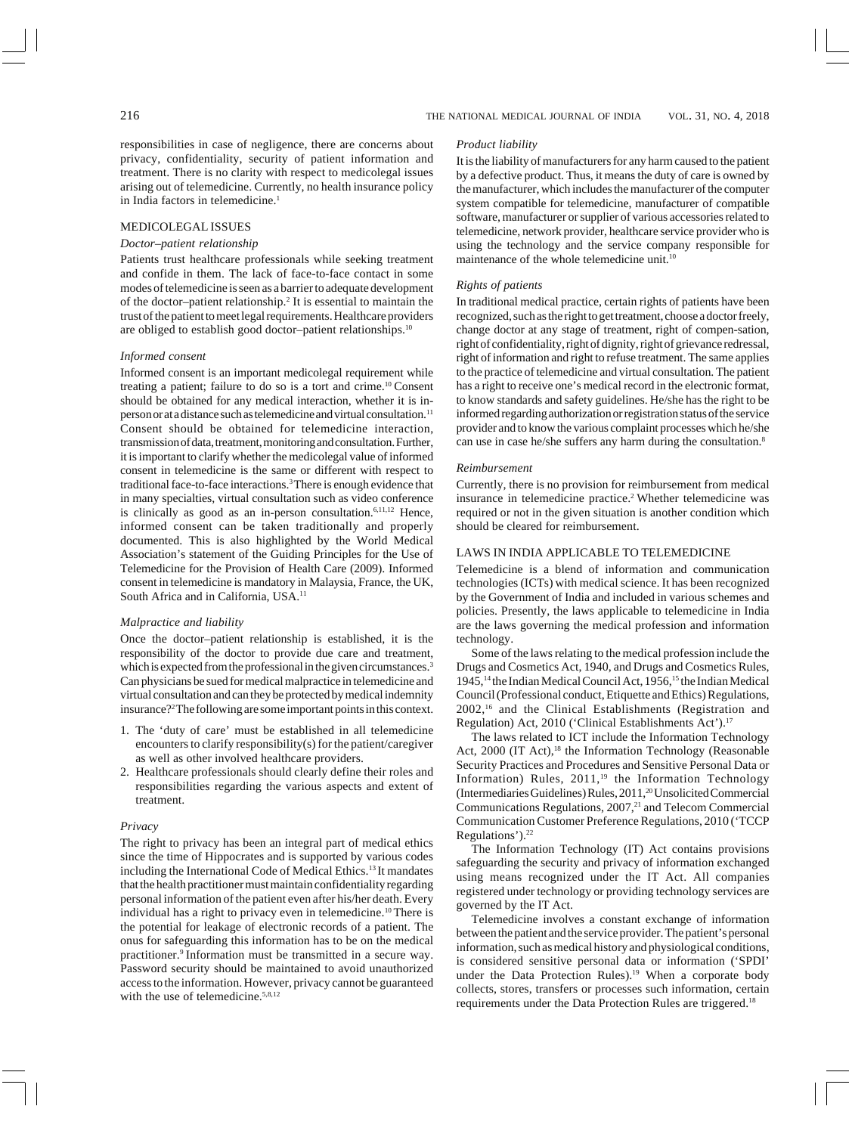responsibilities in case of negligence, there are concerns about privacy, confidentiality, security of patient information and treatment. There is no clarity with respect to medicolegal issues arising out of telemedicine. Currently, no health insurance policy in India factors in telemedicine.<sup>1</sup>

## MEDICOLEGAL ISSUES

## *Doctor–patient relationship*

Patients trust healthcare professionals while seeking treatment and confide in them. The lack of face-to-face contact in some modes of telemedicine is seen as a barrier to adequate development of the doctor-patient relationship.<sup>2</sup> It is essential to maintain the trust of the patient to meet legal requirements. Healthcare providers are obliged to establish good doctor–patient relationships.10

## *Informed consent*

Informed consent is an important medicolegal requirement while treating a patient; failure to do so is a tort and crime.10 Consent should be obtained for any medical interaction, whether it is inperson or at a distance such as telemedicine and virtual consultation.11 Consent should be obtained for telemedicine interaction, transmission of data, treatment, monitoring and consultation. Further, it is important to clarify whether the medicolegal value of informed consent in telemedicine is the same or different with respect to traditional face-to-face interactions.<sup>3</sup> There is enough evidence that in many specialties, virtual consultation such as video conference is clinically as good as an in-person consultation.<sup>6,11,12</sup> Hence, informed consent can be taken traditionally and properly documented. This is also highlighted by the World Medical Association's statement of the Guiding Principles for the Use of Telemedicine for the Provision of Health Care (2009). Informed consent in telemedicine is mandatory in Malaysia, France, the UK, South Africa and in California, USA.11

## *Malpractice and liability*

Once the doctor–patient relationship is established, it is the responsibility of the doctor to provide due care and treatment, which is expected from the professional in the given circumstances.<sup>3</sup> Can physicians be sued for medical malpractice in telemedicine and virtual consultation and can they be protected by medical indemnity insurance?2 The following are some important points in this context.

- 1. The 'duty of care' must be established in all telemedicine encounters to clarify responsibility(s) for the patient/caregiver as well as other involved healthcare providers.
- 2. Healthcare professionals should clearly define their roles and responsibilities regarding the various aspects and extent of treatment.

## *Privacy*

The right to privacy has been an integral part of medical ethics since the time of Hippocrates and is supported by various codes including the International Code of Medical Ethics.13 It mandates that the health practitioner must maintain confidentiality regarding personal information of the patient even after his/her death. Every individual has a right to privacy even in telemedicine.10 There is the potential for leakage of electronic records of a patient. The onus for safeguarding this information has to be on the medical practitioner.9 Information must be transmitted in a secure way. Password security should be maintained to avoid unauthorized access to the information. However, privacy cannot be guaranteed with the use of telemedicine.<sup>5,8,12</sup>

## *Product liability*

It is the liability of manufacturers for any harm caused to the patient by a defective product. Thus, it means the duty of care is owned by the manufacturer, which includes the manufacturer of the computer system compatible for telemedicine, manufacturer of compatible software, manufacturer or supplier of various accessories related to telemedicine, network provider, healthcare service provider who is using the technology and the service company responsible for maintenance of the whole telemedicine unit.<sup>10</sup>

## *Rights of patients*

In traditional medical practice, certain rights of patients have been recognized, such as the right to get treatment, choose a doctor freely, change doctor at any stage of treatment, right of compen-sation, right of confidentiality, right of dignity, right of grievance redressal, right of information and right to refuse treatment. The same applies to the practice of telemedicine and virtual consultation. The patient has a right to receive one's medical record in the electronic format, to know standards and safety guidelines. He/she has the right to be informed regarding authorization or registration status of the service provider and to know the various complaint processes which he/she can use in case he/she suffers any harm during the consultation.<sup>8</sup>

#### *Reimbursement*

Currently, there is no provision for reimbursement from medical insurance in telemedicine practice.2 Whether telemedicine was required or not in the given situation is another condition which should be cleared for reimbursement.

## LAWS IN INDIA APPLICABLE TO TELEMEDICINE

Telemedicine is a blend of information and communication technologies (ICTs) with medical science. It has been recognized by the Government of India and included in various schemes and policies. Presently, the laws applicable to telemedicine in India are the laws governing the medical profession and information technology.

Some of the laws relating to the medical profession include the Drugs and Cosmetics Act, 1940, and Drugs and Cosmetics Rules, 1945,<sup>14</sup> the Indian Medical Council Act, 1956,<sup>15</sup> the Indian Medical Council (Professional conduct, Etiquette and Ethics) Regulations, 2002,16 and the Clinical Establishments (Registration and Regulation) Act, 2010 ('Clinical Establishments Act').17

The laws related to ICT include the Information Technology Act, 2000 (IT Act),<sup>18</sup> the Information Technology (Reasonable Security Practices and Procedures and Sensitive Personal Data or Information) Rules,  $2011$ ,<sup>19</sup> the Information Technology (Intermediaries Guidelines) Rules, 2011,20 Unsolicited Commercial Communications Regulations, 2007,<sup>21</sup> and Telecom Commercial Communication Customer Preference Regulations, 2010 ('TCCP Regulations').<sup>22</sup>

The Information Technology (IT) Act contains provisions safeguarding the security and privacy of information exchanged using means recognized under the IT Act. All companies registered under technology or providing technology services are governed by the IT Act.

Telemedicine involves a constant exchange of information between the patient and the service provider. The patient's personal information, such as medical history and physiological conditions, is considered sensitive personal data or information ('SPDI' under the Data Protection Rules).<sup>19</sup> When a corporate body collects, stores, transfers or processes such information, certain requirements under the Data Protection Rules are triggered.18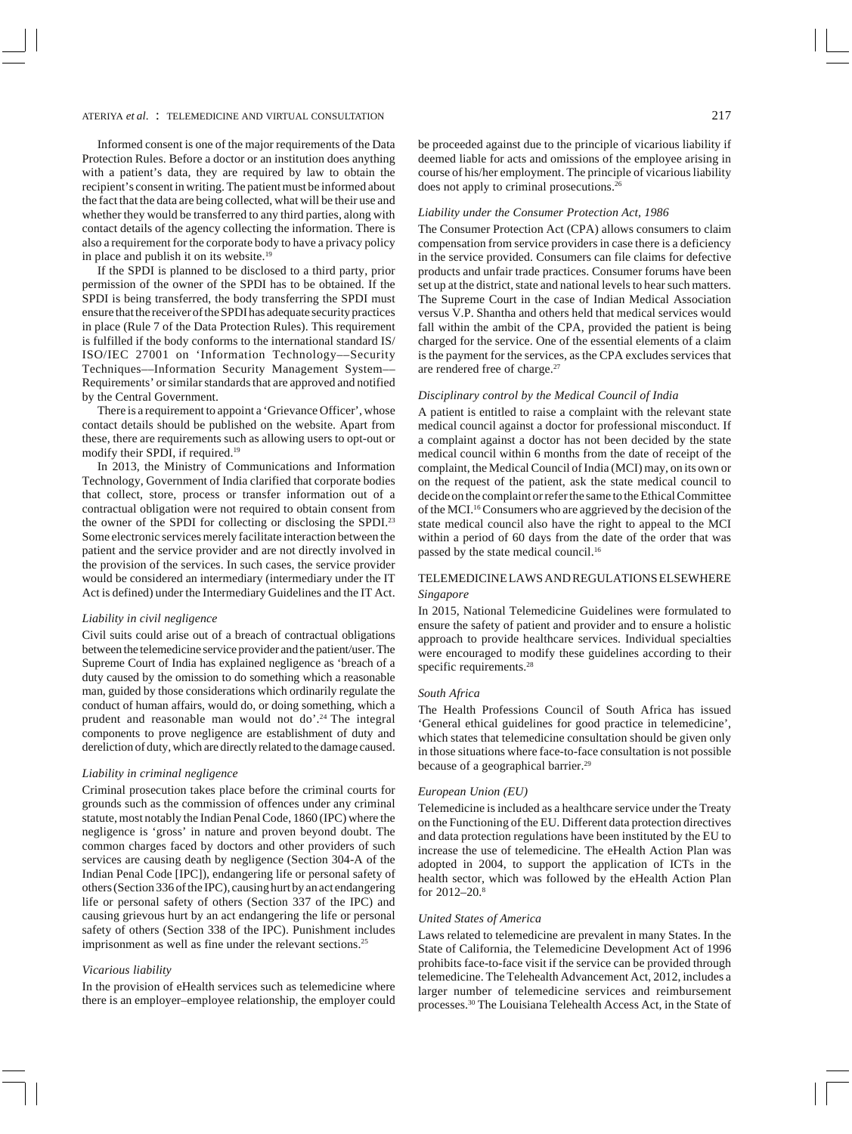Informed consent is one of the major requirements of the Data Protection Rules. Before a doctor or an institution does anything with a patient's data, they are required by law to obtain the recipient's consent in writing. The patient must be informed about the fact that the data are being collected, what will be their use and whether they would be transferred to any third parties, along with contact details of the agency collecting the information. There is also a requirement for the corporate body to have a privacy policy in place and publish it on its website.<sup>19</sup>

If the SPDI is planned to be disclosed to a third party, prior permission of the owner of the SPDI has to be obtained. If the SPDI is being transferred, the body transferring the SPDI must ensure that the receiver of the SPDI has adequate security practices in place (Rule 7 of the Data Protection Rules). This requirement is fulfilled if the body conforms to the international standard IS/ ISO/IEC 27001 on 'Information Technology––Security Techniques––Information Security Management System–– Requirements' or similar standards that are approved and notified by the Central Government.

There is a requirement to appoint a 'Grievance Officer', whose contact details should be published on the website. Apart from these, there are requirements such as allowing users to opt-out or modify their SPDI, if required.19

In 2013, the Ministry of Communications and Information Technology, Government of India clarified that corporate bodies that collect, store, process or transfer information out of a contractual obligation were not required to obtain consent from the owner of the SPDI for collecting or disclosing the SPDI.23 Some electronic services merely facilitate interaction between the patient and the service provider and are not directly involved in the provision of the services. In such cases, the service provider would be considered an intermediary (intermediary under the IT Act is defined) under the Intermediary Guidelines and the IT Act.

#### *Liability in civil negligence*

Civil suits could arise out of a breach of contractual obligations between the telemedicine service provider and the patient/user. The Supreme Court of India has explained negligence as 'breach of a duty caused by the omission to do something which a reasonable man, guided by those considerations which ordinarily regulate the conduct of human affairs, would do, or doing something, which a prudent and reasonable man would not do'.<sup>24</sup> The integral components to prove negligence are establishment of duty and dereliction of duty, which are directly related to the damage caused.

## *Liability in criminal negligence*

Criminal prosecution takes place before the criminal courts for grounds such as the commission of offences under any criminal statute, most notably the Indian Penal Code, 1860 (IPC) where the negligence is 'gross' in nature and proven beyond doubt. The common charges faced by doctors and other providers of such services are causing death by negligence (Section 304-A of the Indian Penal Code [IPC]), endangering life or personal safety of others (Section 336 of the IPC), causing hurt by an act endangering life or personal safety of others (Section 337 of the IPC) and causing grievous hurt by an act endangering the life or personal safety of others (Section 338 of the IPC). Punishment includes imprisonment as well as fine under the relevant sections.<sup>25</sup>

## *Vicarious liability*

In the provision of eHealth services such as telemedicine where there is an employer–employee relationship, the employer could be proceeded against due to the principle of vicarious liability if deemed liable for acts and omissions of the employee arising in course of his/her employment. The principle of vicarious liability does not apply to criminal prosecutions.<sup>26</sup>

## *Liability under the Consumer Protection Act, 1986*

The Consumer Protection Act (CPA) allows consumers to claim compensation from service providers in case there is a deficiency in the service provided. Consumers can file claims for defective products and unfair trade practices. Consumer forums have been set up at the district, state and national levels to hear such matters. The Supreme Court in the case of Indian Medical Association versus V.P. Shantha and others held that medical services would fall within the ambit of the CPA, provided the patient is being charged for the service. One of the essential elements of a claim is the payment for the services, as the CPA excludes services that are rendered free of charge.27

## *Disciplinary control by the Medical Council of India*

A patient is entitled to raise a complaint with the relevant state medical council against a doctor for professional misconduct. If a complaint against a doctor has not been decided by the state medical council within 6 months from the date of receipt of the complaint, the Medical Council of India (MCI) may, on its own or on the request of the patient, ask the state medical council to decide on the complaint or refer the same to the Ethical Committee of the MCI.16 Consumers who are aggrieved by the decision of the state medical council also have the right to appeal to the MCI within a period of 60 days from the date of the order that was passed by the state medical council.<sup>16</sup>

# TELEMEDICINE LAWS AND REGULATIONS ELSEWHERE *Singapore*

In 2015, National Telemedicine Guidelines were formulated to ensure the safety of patient and provider and to ensure a holistic approach to provide healthcare services. Individual specialties were encouraged to modify these guidelines according to their specific requirements.<sup>28</sup>

## *South Africa*

The Health Professions Council of South Africa has issued 'General ethical guidelines for good practice in telemedicine', which states that telemedicine consultation should be given only in those situations where face-to-face consultation is not possible because of a geographical barrier.<sup>29</sup>

### *European Union (EU)*

Telemedicine is included as a healthcare service under the Treaty on the Functioning of the EU. Different data protection directives and data protection regulations have been instituted by the EU to increase the use of telemedicine. The eHealth Action Plan was adopted in 2004, to support the application of ICTs in the health sector, which was followed by the eHealth Action Plan for 2012–20.8

## *United States of America*

Laws related to telemedicine are prevalent in many States. In the State of California, the Telemedicine Development Act of 1996 prohibits face-to-face visit if the service can be provided through telemedicine. The Telehealth Advancement Act, 2012, includes a larger number of telemedicine services and reimbursement processes.30 The Louisiana Telehealth Access Act, in the State of